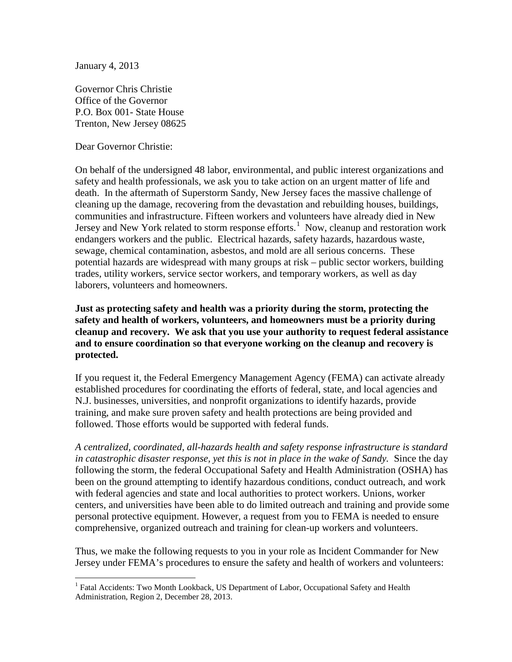January 4, 2013

Governor Chris Christie Office of the Governor P.O. Box 001- State House Trenton, New Jersey 08625

Dear Governor Christie:

On behalf of the undersigned 48 labor, environmental, and public interest organizations and safety and health professionals, we ask you to take action on an urgent matter of life and death. In the aftermath of Superstorm Sandy, New Jersey faces the massive challenge of cleaning up the damage, recovering from the devastation and rebuilding houses, buildings, communities and infrastructure. Fifteen workers and volunteers have already died in New Jersey and New York related to storm response efforts.<sup>[1](#page-0-0)</sup> Now, cleanup and restoration work endangers workers and the public. Electrical hazards, safety hazards, hazardous waste, sewage, chemical contamination, asbestos, and mold are all serious concerns. These potential hazards are widespread with many groups at risk – public sector workers, building trades, utility workers, service sector workers, and temporary workers, as well as day laborers, volunteers and homeowners.

**Just as protecting safety and health was a priority during the storm, protecting the safety and health of workers, volunteers, and homeowners must be a priority during cleanup and recovery. We ask that you use your authority to request federal assistance and to ensure coordination so that everyone working on the cleanup and recovery is protected.**

If you request it, the Federal Emergency Management Agency (FEMA) can activate already established procedures for coordinating the efforts of federal, state, and local agencies and N.J. businesses, universities, and nonprofit organizations to identify hazards, provide training, and make sure proven safety and health protections are being provided and followed. Those efforts would be supported with federal funds.

*A centralized, coordinated, all-hazards health and safety response infrastructure is standard in catastrophic disaster response, yet this is not in place in the wake of Sandy.* Since the day following the storm, the federal Occupational Safety and Health Administration (OSHA) has been on the ground attempting to identify hazardous conditions, conduct outreach, and work with federal agencies and state and local authorities to protect workers. Unions, worker centers, and universities have been able to do limited outreach and training and provide some personal protective equipment. However, a request from you to FEMA is needed to ensure comprehensive, organized outreach and training for clean-up workers and volunteers.

Thus, we make the following requests to you in your role as Incident Commander for New Jersey under FEMA's procedures to ensure the safety and health of workers and volunteers:

<span id="page-0-0"></span><sup>&</sup>lt;sup>1</sup> Fatal Accidents: Two Month Lookback, US Department of Labor, Occupational Safety and Health Administration, Region 2, December 28, 2013.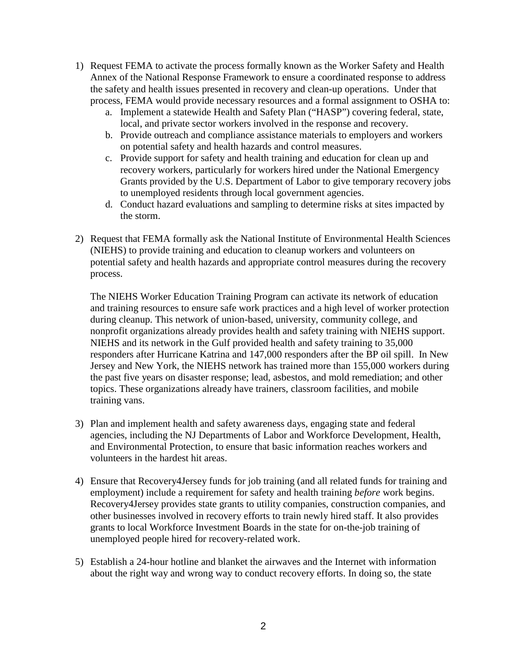- 1) Request FEMA to activate the process formally known as the Worker Safety and Health Annex of the National Response Framework to ensure a coordinated response to address the safety and health issues presented in recovery and clean-up operations. Under that process, FEMA would provide necessary resources and a formal assignment to OSHA to:
	- a. Implement a statewide Health and Safety Plan ("HASP") covering federal, state, local, and private sector workers involved in the response and recovery.
	- b. Provide outreach and compliance assistance materials to employers and workers on potential safety and health hazards and control measures.
	- c. Provide support for safety and health training and education for clean up and recovery workers, particularly for workers hired under the National Emergency Grants provided by the U.S. Department of Labor to give temporary recovery jobs to unemployed residents through local government agencies.
	- d. Conduct hazard evaluations and sampling to determine risks at sites impacted by the storm.
- 2) Request that FEMA formally ask the National Institute of Environmental Health Sciences (NIEHS) to provide training and education to cleanup workers and volunteers on potential safety and health hazards and appropriate control measures during the recovery process.

The NIEHS Worker Education Training Program can activate its network of education and training resources to ensure safe work practices and a high level of worker protection during cleanup. This network of union-based, university, community college, and nonprofit organizations already provides health and safety training with NIEHS support. NIEHS and its network in the Gulf provided health and safety training to 35,000 responders after Hurricane Katrina and 147,000 responders after the BP oil spill. In New Jersey and New York, the NIEHS network has trained more than 155,000 workers during the past five years on disaster response; lead, asbestos, and mold remediation; and other topics. These organizations already have trainers, classroom facilities, and mobile training vans.

- 3) Plan and implement health and safety awareness days, engaging state and federal agencies, including the NJ Departments of Labor and Workforce Development, Health, and Environmental Protection, to ensure that basic information reaches workers and volunteers in the hardest hit areas.
- 4) Ensure that Recovery4Jersey funds for job training (and all related funds for training and employment) include a requirement for safety and health training *before* work begins. Recovery4Jersey provides state grants to utility companies, construction companies, and other businesses involved in recovery efforts to train newly hired staff. It also provides grants to local Workforce Investment Boards in the state for on-the-job training of unemployed people hired for recovery-related work.
- 5) Establish a 24-hour hotline and blanket the airwaves and the Internet with information about the right way and wrong way to conduct recovery efforts. In doing so, the state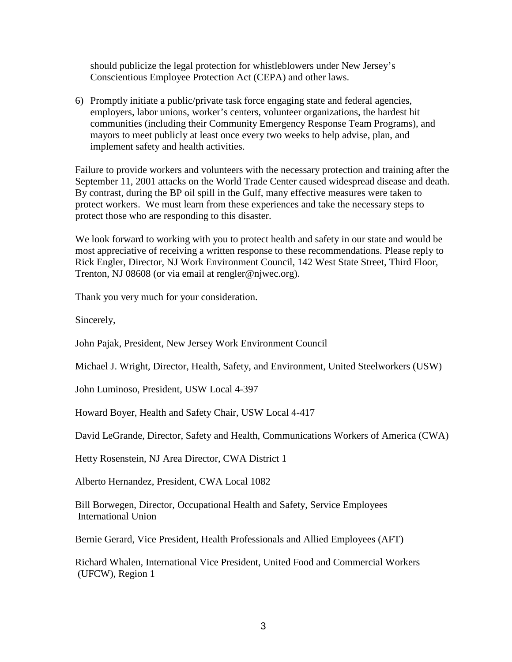should publicize the legal protection for whistleblowers under New Jersey's Conscientious Employee Protection Act (CEPA) and other laws.

6) Promptly initiate a public/private task force engaging state and federal agencies, employers, labor unions, worker's centers, volunteer organizations, the hardest hit communities (including their Community Emergency Response Team Programs), and mayors to meet publicly at least once every two weeks to help advise, plan, and implement safety and health activities.

Failure to provide workers and volunteers with the necessary protection and training after the September 11, 2001 attacks on the World Trade Center caused widespread disease and death. By contrast, during the BP oil spill in the Gulf, many effective measures were taken to protect workers. We must learn from these experiences and take the necessary steps to protect those who are responding to this disaster.

We look forward to working with you to protect health and safety in our state and would be most appreciative of receiving a written response to these recommendations. Please reply to Rick Engler, Director, NJ Work Environment Council, 142 West State Street, Third Floor, Trenton, NJ 08608 (or via email at rengler@njwec.org).

Thank you very much for your consideration.

Sincerely,

John Pajak, President, New Jersey Work Environment Council

Michael J. Wright, Director, Health, Safety, and Environment, United Steelworkers (USW)

John Luminoso, President, USW Local 4-397

Howard Boyer, Health and Safety Chair, USW Local 4-417

David LeGrande, Director, Safety and Health, Communications Workers of America (CWA)

Hetty Rosenstein, NJ Area Director, CWA District 1

Alberto Hernandez, President, CWA Local 1082

Bill Borwegen, Director, Occupational Health and Safety, Service Employees International Union

Bernie Gerard, Vice President, Health Professionals and Allied Employees (AFT)

Richard Whalen, International Vice President, United Food and Commercial Workers (UFCW), Region 1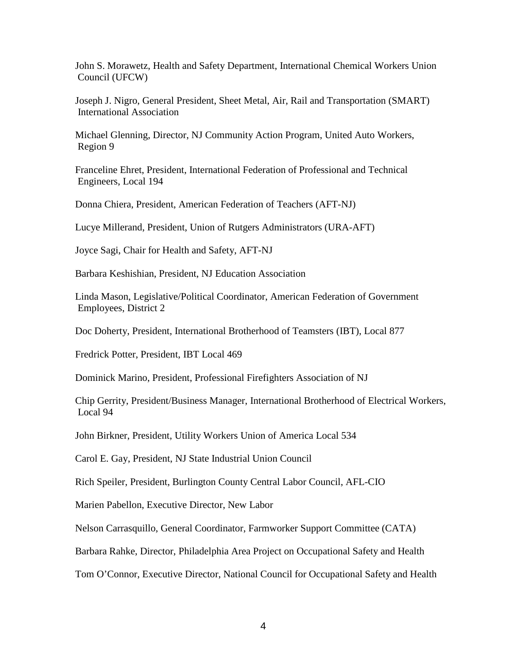John S. Morawetz, Health and Safety Department, International Chemical Workers Union Council (UFCW)

Joseph J. Nigro, General President, Sheet Metal, Air, Rail and Transportation (SMART) International Association

Michael Glenning, Director, NJ Community Action Program, United Auto Workers, Region 9

Franceline Ehret, President, International Federation of Professional and Technical Engineers, Local 194

Donna Chiera, President, American Federation of Teachers (AFT-NJ)

Lucye Millerand, President, Union of Rutgers Administrators (URA-AFT)

Joyce Sagi, Chair for Health and Safety, AFT-NJ

[Barbara Keshishian,](http://www.njea.org/about/who-we-are/leadership-and-staff/officers/president) President, NJ Education Association

Linda Mason, Legislative/Political Coordinator, American Federation of Government Employees, District 2

Doc Doherty, President, International Brotherhood of Teamsters (IBT), Local 877

Fredrick Potter, President, IBT Local 469

Dominick Marino, President, Professional Firefighters Association of NJ

Chip Gerrity, President/Business Manager, International Brotherhood of Electrical Workers, Local 94

John Birkner, President, Utility Workers Union of America Local 534

Carol E. Gay, President, NJ State Industrial Union Council

Rich Speiler, President, Burlington County Central Labor Council, AFL-CIO

Marien Pabellon, Executive Director, New Labor

Nelson Carrasquillo, General Coordinator, Farmworker Support Committee (CATA)

Barbara Rahke, Director, Philadelphia Area Project on Occupational Safety and Health

Tom O'Connor, Executive Director, National Council for Occupational Safety and Health